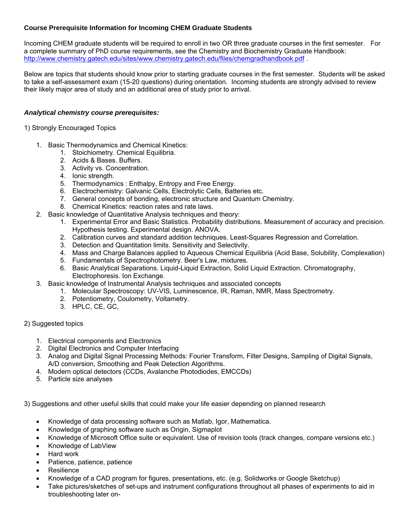# **Course Prerequisite Information for Incoming CHEM Graduate Students**

Incoming CHEM graduate students will be required to enroll in two OR three graduate courses in the first semester. For a complete summary of PhD course requirements, see the Chemistry and Biochemistry Graduate Handbook: http://www.chemistry.gatech.edu/sites/www.chemistry.gatech.edu/files/chemgradhandbook.pdf .

Below are topics that students should know prior to starting graduate courses in the first semester. Students will be asked to take a self-assessment exam (15-20 questions) during orientation. Incoming students are strongly advised to review their likely major area of study and an additional area of study prior to arrival.

#### *Analytical chemistry course prerequisites:*

1) Strongly Encouraged Topics

- 1. Basic Thermodynamics and Chemical Kinetics:
	- 1. Stoichiometry. Chemical Equilibria.
	- 2. Acids & Bases. Buffers.
	- 3. Activity vs. Concentration.
	- 4. Ionic strength.
	- 5. Thermodynamics : Enthalpy, Entropy and Free Energy.
	- 6. Electrochemistry: Galvanic Cells, Electrolytic Cells, Batteries etc.
	- 7. General concepts of bonding, electronic structure and Quantum Chemistry.
	- 8. Chemical Kinetics: reaction rates and rate laws.
- 2. Basic knowledge of Quantitative Analysis techniques and theory:
	- 1. Experimental Error and Basic Statistics. Probability distributions. Measurement of accuracy and precision. Hypothesis testing. Experimental design. ANOVA.
	- 2. Calibration curves and standard addition techniques. Least-Squares Regression and Correlation.
	- 3. Detection and Quantitation limits. Sensitivity and Selectivity.
	- 4. Mass and Charge Balances applied to Aqueous Chemical Equilibria (Acid Base, Solubility, Complexation)
	- 5. Fundamentals of Spectrophotometry. Beer's Law, mixtures.
	- 6. Basic Analytical Separations. Liquid-Liquid Extraction, Solid Liquid Extraction. Chromatography, Electrophoresis. Ion Exchange.
- 3. Basic knowledge of Instrumental Analysis techniques and associated concepts
	- 1. Molecular Spectroscopy: UV-VIS, Luminescence, IR, Raman, NMR, Mass Spectrometry.
	- 2. Potentiometry, Coulometry, Voltametry.
	- 3. HPLC, CE, GC,

## 2) Suggested topics

- 1. Electrical components and Electronics
- 2. Digital Electronics and Computer Interfacing
- 3. Analog and Digital Signal Processing Methods: Fourier Transform, Filter Designs, Sampling of Digital Signals, A/D conversion, Smoothing and Peak Detection Algorithms.
- 4. Modern optical detectors (CCDs, Avalanche Photodiodes, EMCCDs)
- 5. Particle size analyses

3) Suggestions and other useful skills that could make your life easier depending on planned research

- Knowledge of data processing software such as Matlab, Igor, Mathematica.
- Knowledge of graphing software such as Origin, Sigmaplot
- Knowledge of Microsoft Office suite or equivalent. Use of revision tools (track changes, compare versions etc.)
- Knowledge of LabView
- Hard work
- Patience, patience, patience
- **Resilience**
- Knowledge of a CAD program for figures, presentations, etc. (e.g. Solidworks or Google Sketchup)
- Take pictures/sketches of set-ups and instrument configurations throughout all phases of experiments to aid in troubleshooting later on-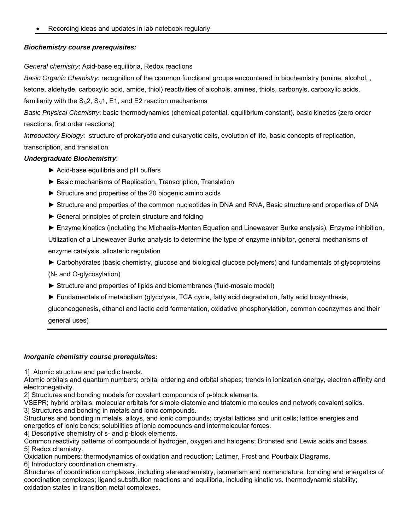Recording ideas and updates in lab notebook regularly

## *Biochemistry course prerequisites:*

*General chemistry*: Acid-base equilibria, Redox reactions

*Basic Organic Chemistry*: recognition of the common functional groups encountered in biochemistry (amine, alcohol, ,

ketone, aldehyde, carboxylic acid, amide, thiol) reactivities of alcohols, amines, thiols, carbonyls, carboxylic acids,

familiarity with the  $S_N2$ ,  $S_N1$ , E1, and E2 reaction mechanisms

*Basic Physical Chemistry*: basic thermodynamics (chemical potential, equilibrium constant), basic kinetics (zero order reactions, first order reactions)

*Introductory Biology*: structure of prokaryotic and eukaryotic cells, evolution of life, basic concepts of replication, transcription, and translation

## *Undergraduate Biochemistry*:

- ► Acid-base equilibria and pH buffers
- ► Basic mechanisms of Replication, Transcription, Translation
- ► Structure and properties of the 20 biogenic amino acids
- ► Structure and properties of the common nucleotides in DNA and RNA, Basic structure and properties of DNA
- ► General principles of protein structure and folding
- ► Enzyme kinetics (including the Michaelis-Menten Equation and Lineweaver Burke analysis), Enzyme inhibition, Utilization of a Lineweaver Burke analysis to determine the type of enzyme inhibitor, general mechanisms of enzyme catalysis, allosteric regulation
- ► Carbohydrates (basic chemistry, glucose and biological glucose polymers) and fundamentals of glycoproteins

(N- and O-glycosylation)

- ► Structure and properties of lipids and biomembranes (fluid-mosaic model)
- ► Fundamentals of metabolism (glycolysis, TCA cycle, fatty acid degradation, fatty acid biosynthesis,

gluconeogenesis, ethanol and lactic acid fermentation, oxidative phosphorylation, common coenzymes and their general uses)

## *Inorganic chemistry course prerequisites:*

1] Atomic structure and periodic trends.

Atomic orbitals and quantum numbers; orbital ordering and orbital shapes; trends in ionization energy, electron affinity and electronegativity.

2] Structures and bonding models for covalent compounds of p-block elements.

VSEPR; hybrid orbitals; molecular orbitals for simple diatomic and triatomic molecules and network covalent solids. 3] Structures and bonding in metals and ionic compounds.

Structures and bonding in metals, alloys, and ionic compounds; crystal lattices and unit cells; lattice energies and energetics of ionic bonds; solubilities of ionic compounds and intermolecular forces.

4] Descriptive chemistry of s- and p-block elements.

Common reactivity patterns of compounds of hydrogen, oxygen and halogens; Bronsted and Lewis acids and bases. 5] Redox chemistry.

Oxidation numbers; thermodynamics of oxidation and reduction; Latimer, Frost and Pourbaix Diagrams. 6] Introductory coordination chemistry.

Structures of coordination complexes, including stereochemistry, isomerism and nomenclature; bonding and energetics of coordination complexes; ligand substitution reactions and equilibria, including kinetic vs. thermodynamic stability; oxidation states in transition metal complexes.